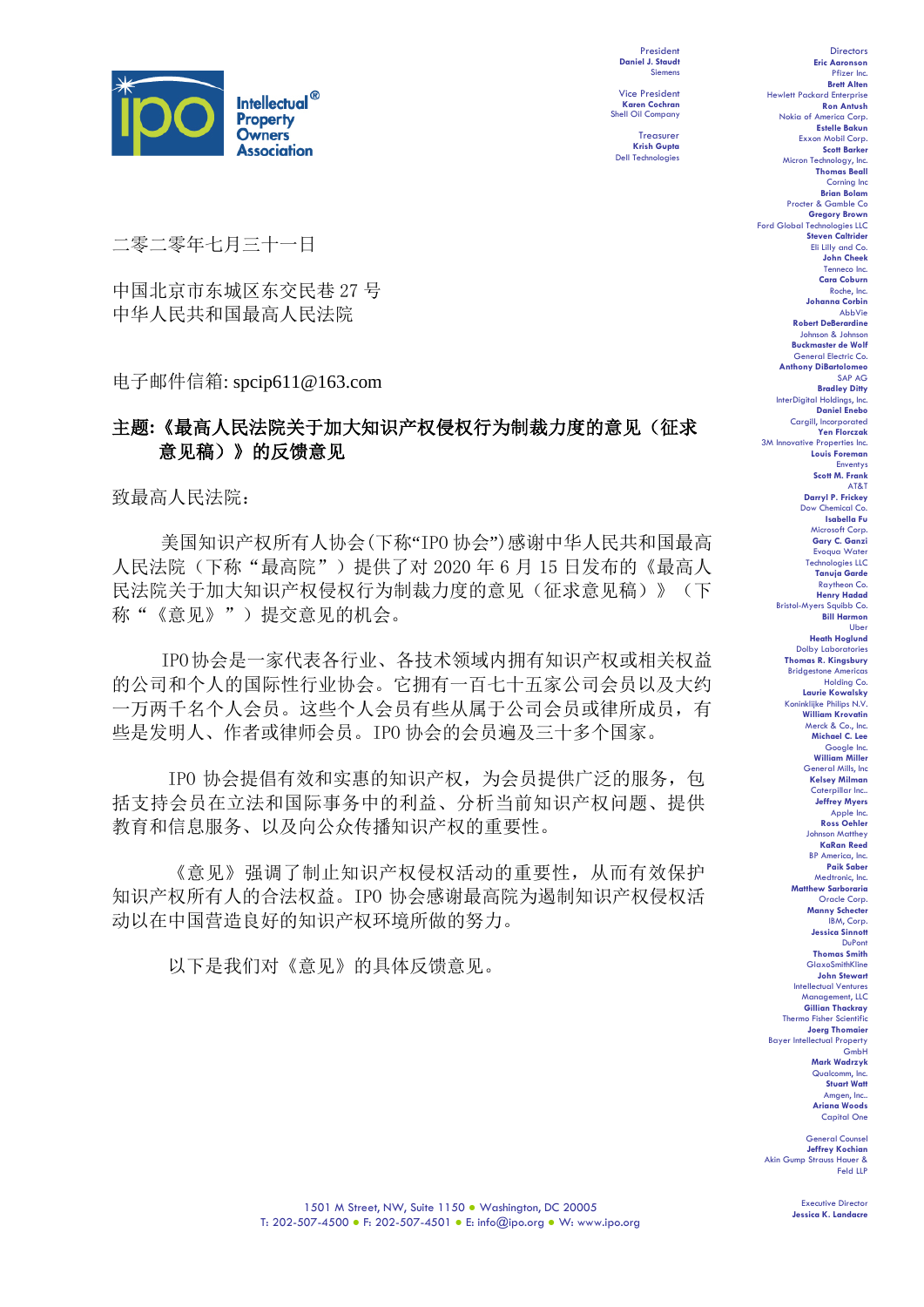

President **Daniel J. Staudt** Siemens Vice President

Shell Oil Company Treasurer **Krish Gupta** Dell Technologies

**Karen Cochran**

二零二零年七月三十一日

中国北京市东城区东交民巷 27 号 中华人民共和国最高人民法院

电子邮件信箱: spcip611@163.com

## 主题**:**《最高人民法院关于加大知识产权侵权行为制裁力度的意见(征求 意见稿)》的反馈意见

致最高人民法院:

美国知识产权所有人协会(下称"IPO 协会")感谢中华人民共和国最高 人民法院(下称"最高院")提供了对 2020年 6 月 15 日发布的《最高人 民法院关于加大知识产权侵权行为制裁力度的意见(征求意见稿)》(下 称"《意见》")提交意见的机会。

IPO协会是一家代表各行业、各技术领域内拥有知识产权或相关权益 的公司和个人的国际性行业协会。它拥有一百七十五家公司会员以及大约 一万两千名个人会员。这些个人会员有些从属于公司会员或律所成员,有 些是发明人、作者或律师会员。IPO 协会的会员遍及三十多个国家。

IPO 协会提倡有效和实惠的知识产权,为会员提供广泛的服务,包 括支持会员在立法和国际事务中的利益、分析当前知识产权问题、提供 教育和信息服务、以及向公众传播知识产权的重要性。

《意见》强调了制止知识产权侵权活动的重要性,从而有效保护 知识产权所有人的合法权益。IPO 协会感谢最高院为遏制知识产权侵权活 动以在中国营造良好的知识产权环境所做的努力。

以下是我们对《意见》的具体反馈意见。

**Directors Eric Aaronson**  Pfizer Inc. **Brett Alten** Hewlett Packard Enterpris **Ron Antush** Nokia of America Corp. **Estelle Bakun** Exxon Mobil Corp. **Scott Barker** Micron Technology, Inc. **Thomas Beall** Corning Inc **Brian Bolam** Procter & Gamble Co **Gregory Brown**<br>Technologies LLC Ford Global Technol **Steven Caltrider** Eli Lilly and Co. **John Cheek** Tenneco Inc. **Cara Coburn** Roche, Inc. **Johanna Corbin** AbbVie **Robert DeBerardine** Johnson & Johnson **Buckmaster de Wolf** General Electric Co. **Anthony DiBartolomeo** SAP AG **Bradley Ditty**<br>I Holdings, Inc. InterDigital Holding **Daniel Enebo** Cargill, Incorporated **Yen Florczak** 3M Innovative Properties Inc. **Louis Foreman** Enventys **Scott M. Frank** AT&T **Darryl P. Frickey** Dow Chemical Co. **Isabella Fu**  Microsoft Corp. **Gary C. Ganzi** Evoqua Water Technologies LLC **Tanuja Garde** Raytheon Co. **Henry Hadad** Bristol-Myers Squibb Co. **Bill Harmon** Uber **Heath Hoglund** Dolby Laboratories **Thomas R. Kingsbury** Bridgestone Americas Holding Co. **Laurie Kowalsky** Koninklijke Philips N.V. **William Krovatin** Merck & Co., Inc. **Michael C. Lee** Google Inc. **William Miller** General Mills, Inc **Kelsey Milman** Caterpillar Inc.. **Jeffrey Myers** Apple Inc. **Ross Oehler** Johnson Matthey **KaRan Reed** BP America, Inc. **Paik Saber** Medtronic, Inc. **Matthew Sarboraria** Oracle Corp. **Manny Schecter** IBM, Corp. **Jessica Sinnott** DuPont **Thomas Smith** GlaxoSmithKline **John Stewart** Intellectual Ventures Management, LLC **Gillian Thackray** Thermo Fisher Scientifi **Joerg Thomaier** Bayer Intellectual Property GmbH **Mark Wadrzyk** Qualcomm, Inc. **Stuart Watt**

General Counsel **Jeffrey Kochian** Akin Gump Strauss Hauer & Feld LLP

Executive Director **Jessica K. Landacre**

Amgen, Inc.. **Ariana Woods** Capital One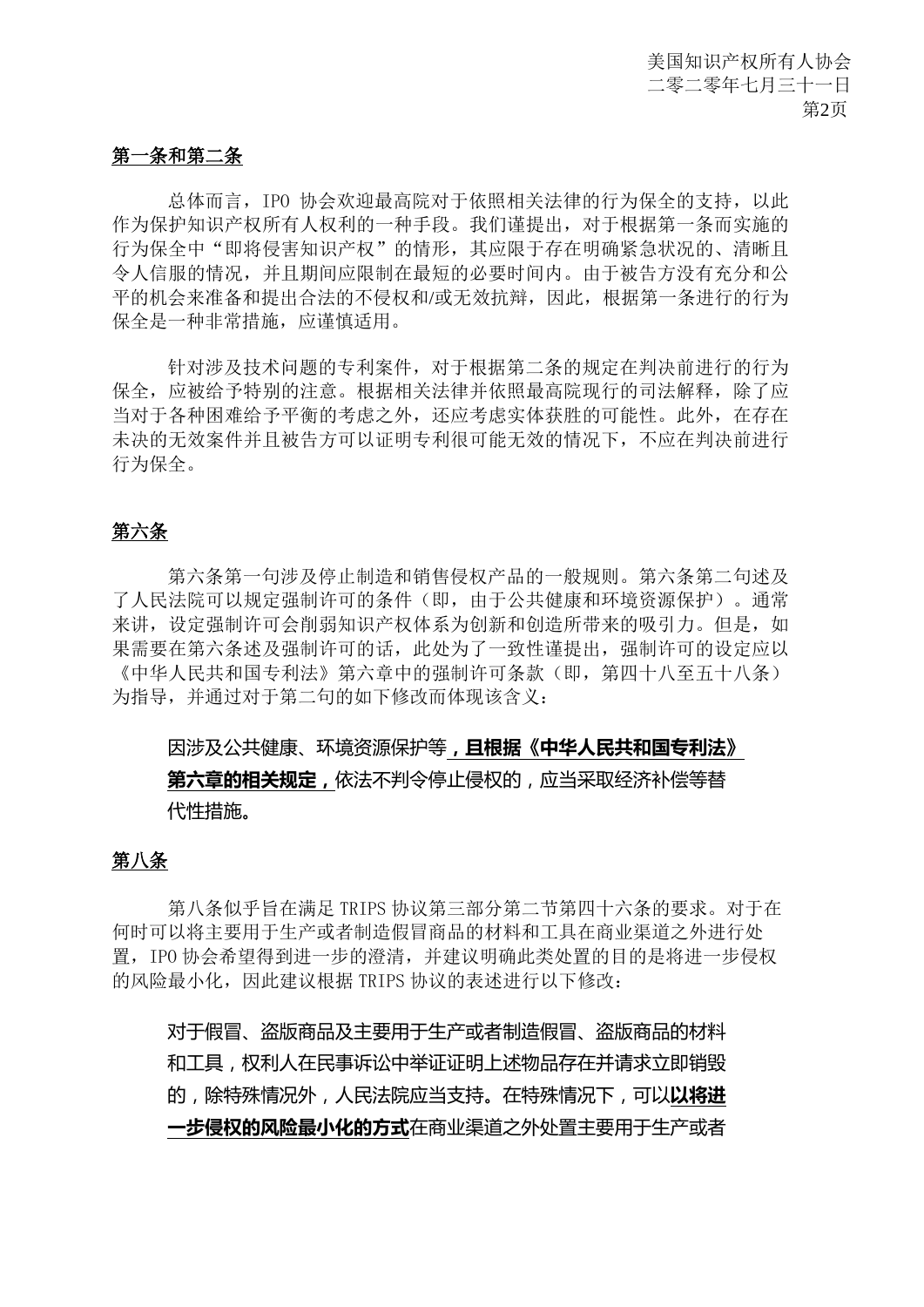#### 第一条和第二条

总体而言,IPO 协会欢迎最高院对于依照相关法律的行为保全的支持,以此 作为保护知识产权所有人权利的一种手段。我们谨提出,对于根据第一条而实施的 行为保全中"即将侵害知识产权"的情形,其应限于存在明确紧急状况的、清晰且 令人信服的情况,并且期间应限制在最短的必要时间内。由于被告方没有充分和公 平的机会来准备和提出合法的不侵权和/或无效抗辩,因此,根据第一条进行的行为 保全是一种非常措施,应谨慎适用。

针对涉及技术问题的专利案件,对于根据第二条的规定在判决前进行的行为 保全,应被给予特别的注意。根据相关法律并依照最高院现行的司法解释,除了应 当对于各种困难给予平衡的考虑之外,还应考虑实体获胜的可能性。此外,在存在 未决的无效案件并且被告方可以证明专利很可能无效的情况下,不应在判决前进行 行为保全。

#### 第六条

第六条第一句涉及停止制造和销售侵权产品的一般规则。第六条第二句述及 了人民法院可以规定强制许可的条件(即,由于公共健康和环境资源保护)。通常 来讲,设定强制许可会削弱知识产权体系为创新和创造所带来的吸引力。但是,如 果需要在第六条述及强制许可的话,此处为了一致性谨提出,强制许可的设定应以 《中华人民共和国专利法》第六章中的强制许可条款(即,第四十八至五十八条) 为指导,并通过对于第二句的如下修改而体现该含义:

## 因涉及公共健康、环境资源保护等**,且根据《中华人民共和国专利法》 第六章的相关规定,**依法不判令停止侵权的,应当采取经济补偿等替 代性措施。

#### 第八条

第八条似乎旨在满足 TRIPS 协议第三部分第二节第四十六条的要求。对于在 何时可以将主要用于生产或者制造假冒商品的材料和工具在商业渠道之外进行处 置,IPO 协会希望得到进一步的澄清,并建议明确此类处置的目的是将进一步侵权 的风险最小化,因此建议根据 TRIPS 协议的表述进行以下修改:

对于假冒、盗版商品及主要用于生产或者制造假冒、盗版商品的材料 和工具,权利人在民事诉讼中举证证明上述物品存在并请求立即销毁 的,除特殊情况外,人民法院应当支持。在特殊情况下,可以**以将进 一步侵权的风险最小化的方式**在商业渠道之外处置主要用于生产或者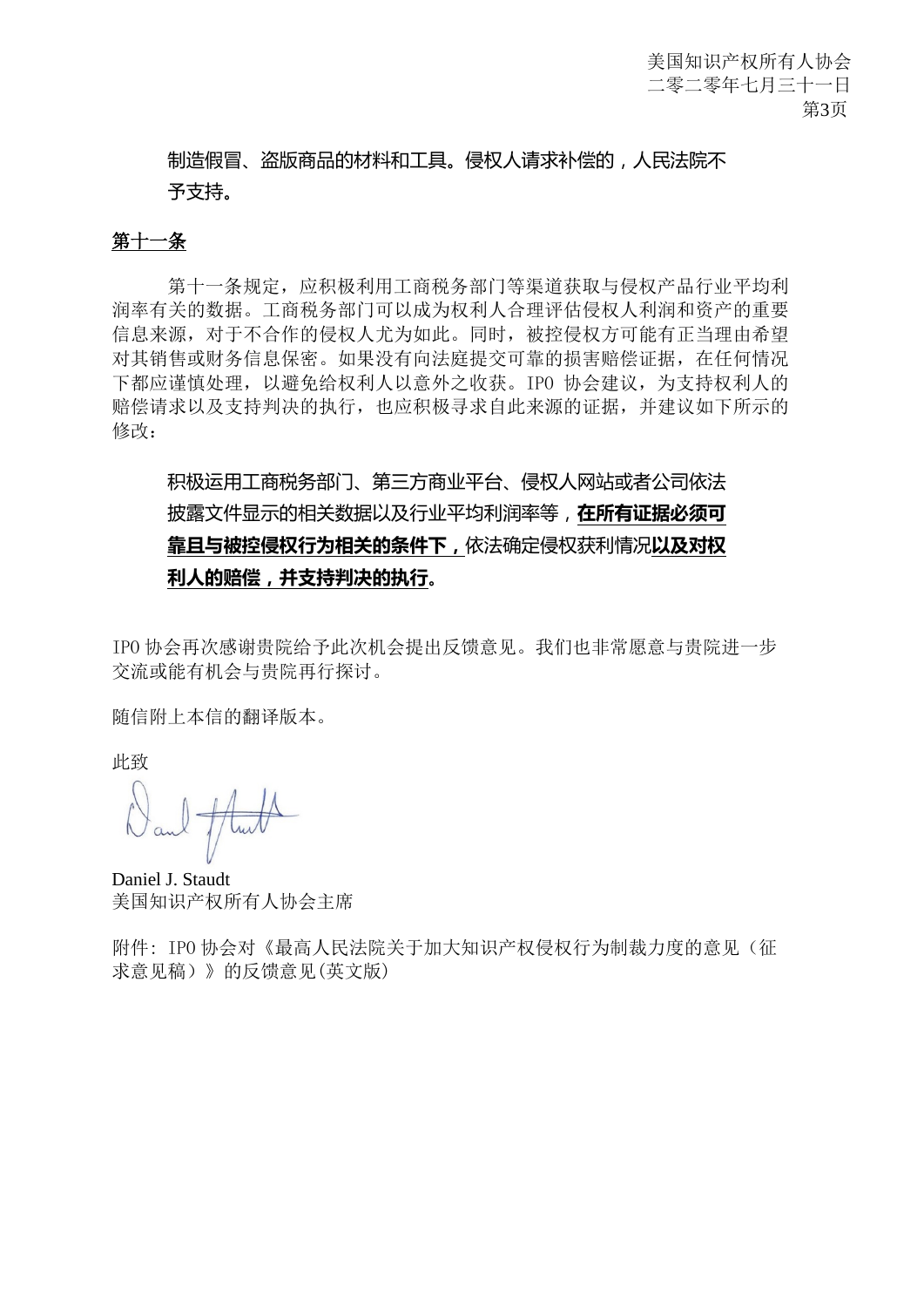制造假冒、盗版商品的材料和工具。侵权人请求补偿的,人民法院不 予支持。

## 第十一条

第十一条规定,应积极利用工商税务部门等渠道获取与侵权产品行业平均利 润率有关的数据。工商税务部门可以成为权利人合理评估侵权人利润和资产的重要 信息来源,对于不合作的侵权人尤为如此。同时,被控侵权方可能有正当理由希望 对其销售或财务信息保密。如果没有向法庭提交可靠的损害赔偿证据,在任何情况 下都应谨慎处理,以避免给权利人以意外之收获。IPO 协会建议,为支持权利人的 赔偿请求以及支持判决的执行,也应积极寻求自此来源的证据,并建议如下所示的 修改:

# 积极运用工商税务部门、第三方商业平台、侵权人网站或者公司依法 披露文件显示的相关数据以及行业平均利润率等,**在所有证据必须可 靠且与被控侵权行为相关的条件下,**依法确定侵权获利情况**以及对权 利人的赔偿,并支持判决的执行**。

IPO 协会再次感谢贵院给予此次机会提出反馈意见。我们也非常愿意与贵院进一步 交流或能有机会与贵院再行探讨。

随信附上本信的翻译版本。

此致

Daniel J. Staudt 美国知识产权所有人协会主席

附件: IPO 协会对《最高人民法院关于加大知识产权侵权行为制裁力度的意见(征 求意见稿)》的反馈意见(英文版)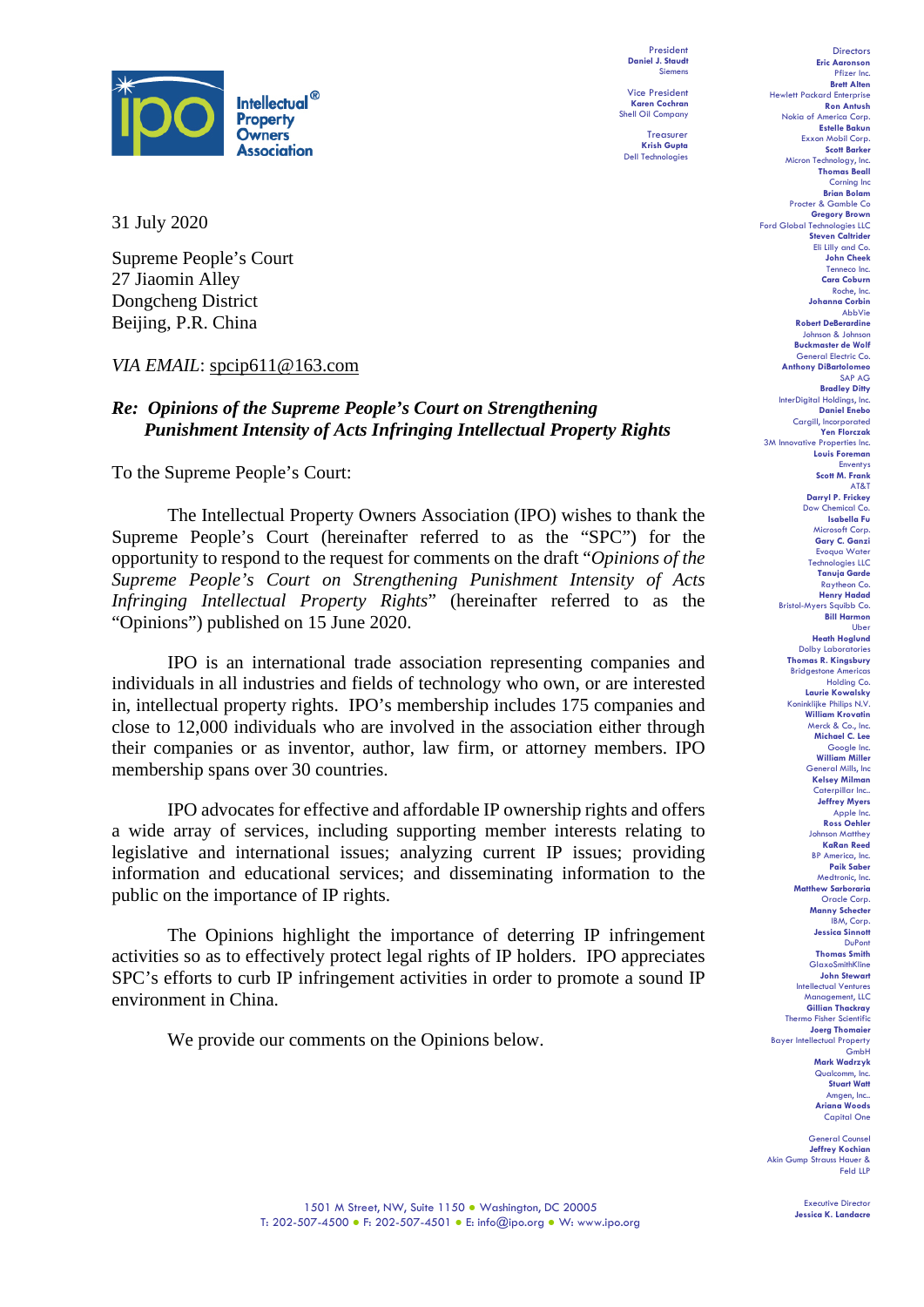

President **Daniel J. Staudt** Siemens Vice President

**Karen Cochran** Shell Oil Company Treasurer

**Krish Gupta** Dell Technologies

31 July 2020

Supreme People's Court 27 Jiaomin Alley Dongcheng District Beijing, P.R. China

#### *VIA EMAIL*: spcip611@163.com

#### *Re: Opinions of the Supreme People's Court on Strengthening Punishment Intensity of Acts Infringing Intellectual Property Rights*

To the Supreme People's Court:

The Intellectual Property Owners Association (IPO) wishes to thank the Supreme People's Court (hereinafter referred to as the "SPC") for the opportunity to respond to the request for comments on the draft "*Opinions of the Supreme People's Court on Strengthening Punishment Intensity of Acts Infringing Intellectual Property Rights*" (hereinafter referred to as the "Opinions") published on 15 June 2020.

IPO is an international trade association representing companies and individuals in all industries and fields of technology who own, or are interested in, intellectual property rights. IPO's membership includes 175 companies and close to 12,000 individuals who are involved in the association either through their companies or as inventor, author, law firm, or attorney members. IPO membership spans over 30 countries.

IPO advocates for effective and affordable IP ownership rights and offers a wide array of services, including supporting member interests relating to legislative and international issues; analyzing current IP issues; providing information and educational services; and disseminating information to the public on the importance of IP rights.

The Opinions highlight the importance of deterring IP infringement activities so as to effectively protect legal rights of IP holders. IPO appreciates SPC's efforts to curb IP infringement activities in order to promote a sound IP environment in China.

We provide our comments on the Opinions below.

Directors **Eric Aaronson**  Pfizer Inc. **Brett Alten** Hewlett Packard Enterprise **Ron Antush** Nokia of America Corp. **Estelle Bakun** Exxon Mobil Corp. **Scott Barker** Micron Technology, Inc. **Thomas Beall** Corning Inc **Brian Bolam** Procter & Gamble Co **Gregory Brown** Ford Global Technolo **Steven Caltrider** Eli Lilly and Co. **John Cheek** Tenneco Inc. **Cara Coburn** Roche, Inc. **Johanna Corbin** AbbVie **Robert DeBerardine** Johnson & Johnson **Buckmaster de Wolf** General Electric Co. **Anthony DiBartolomeo** SAP AG **Bradley Ditty** InterDigital Holding **Daniel Enebo** Cargill, Incorporated **Yen Florczak** 3M Innovative Properties Inc. **Louis Foreman** Enventys **Scott M. Frank** AT&T **Darryl P. Frickey** Dow Chemical Co. **Isabella Fu**  Microsoft Corp. **Gary C. Ganzi** Evoqua Water Technologies LLC **Tanuja Garde** Raytheon Co. **Henry Hadad** Bristol-Myers Squibb Co. **Bill Harmon** Uber **Heath Hoglund** Dolby Laboratories **Thomas R. Kingsbury** Bridgestone Americas Holding Co. **Laurie Kowalsky** Koninklijke Philips N.V. **William Krovatin** Merck & Co., Inc. **Michael C. Lee** Google Inc. **William Miller** General Mills, Inc **Kelsey Milman** Caterpillar Inc.. **Jeffrey Myers** Apple Inc. **Ross Oehler** Johnson Matthey **KaRan Reed** BP America, Inc. **Paik Saber** Medtronic, Inc. **Matthew Sarboraria** Oracle Corp. **Manny Schecter** IBM, Corp. **Jessica Sinnott** DuPont **Thomas Smith** GlaxoSmithKline **John Stewart** Intellectual Ventures Management, LLC **Gillian Thackray** Thermo Fisher Scientific **Joerg Thomaier** Bayer Intellectual Property GmbH **Mark Wadrzyk** Qualcomm, Inc. **Stuart Watt** Amgen, Inc.. **Ariana Woods** Capital One

General Counsel **Jeffrey Kochian** Akin Gump Strauss Hauer & Feld LLP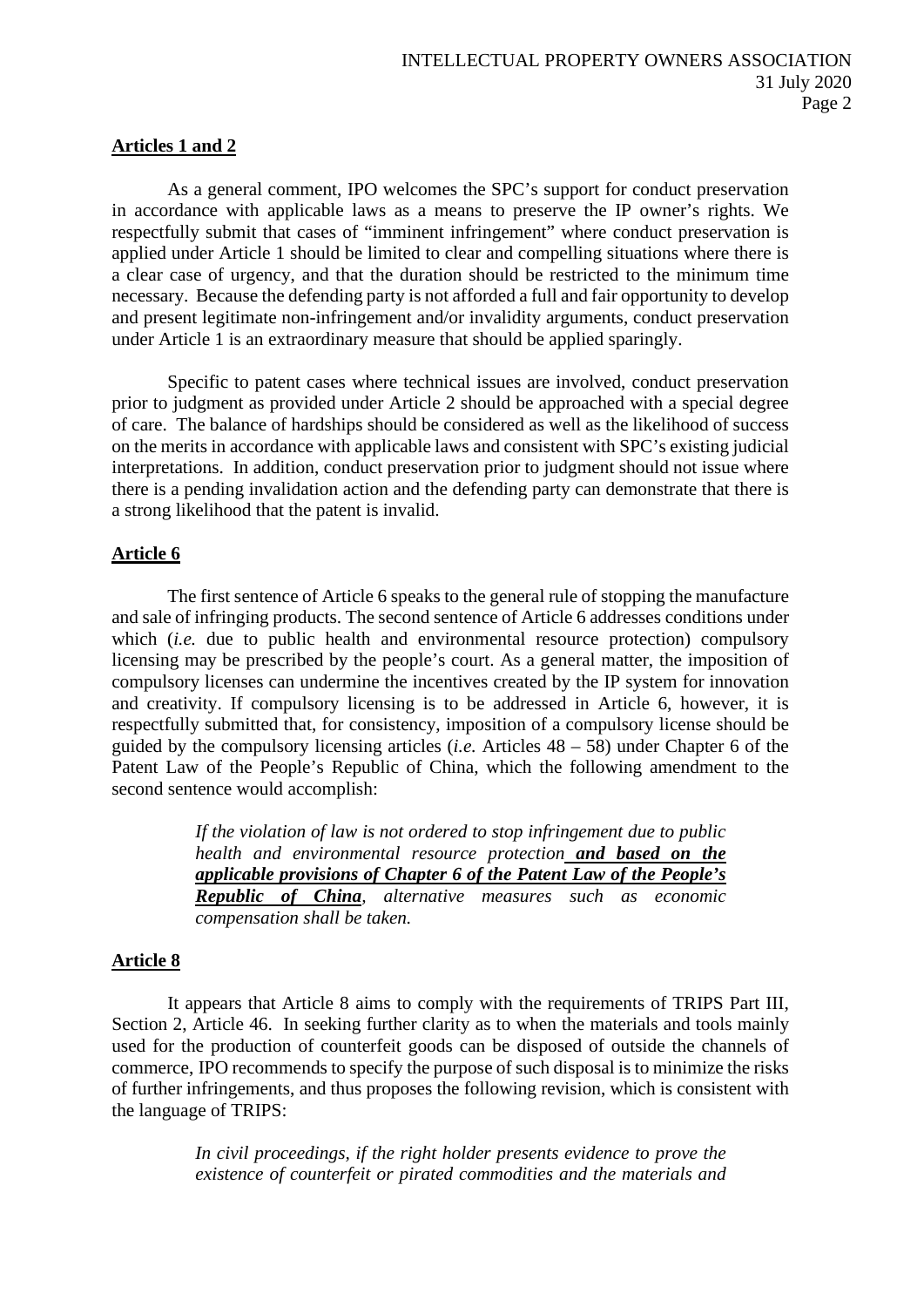#### **Articles 1 and 2**

As a general comment, IPO welcomes the SPC's support for conduct preservation in accordance with applicable laws as a means to preserve the IP owner's rights. We respectfully submit that cases of "imminent infringement" where conduct preservation is applied under Article 1 should be limited to clear and compelling situations where there is a clear case of urgency, and that the duration should be restricted to the minimum time necessary. Because the defending party is not afforded a full and fair opportunity to develop and present legitimate non-infringement and/or invalidity arguments, conduct preservation under Article 1 is an extraordinary measure that should be applied sparingly.

Specific to patent cases where technical issues are involved, conduct preservation prior to judgment as provided under Article 2 should be approached with a special degree of care. The balance of hardships should be considered as well as the likelihood of success on the merits in accordance with applicable laws and consistent with SPC's existing judicial interpretations. In addition, conduct preservation prior to judgment should not issue where there is a pending invalidation action and the defending party can demonstrate that there is a strong likelihood that the patent is invalid.

#### **Article 6**

The first sentence of Article 6 speaks to the general rule of stopping the manufacture and sale of infringing products. The second sentence of Article 6 addresses conditions under which *(i.e.* due to public health and environmental resource protection) compulsory licensing may be prescribed by the people's court. As a general matter, the imposition of compulsory licenses can undermine the incentives created by the IP system for innovation and creativity. If compulsory licensing is to be addressed in Article 6, however, it is respectfully submitted that, for consistency, imposition of a compulsory license should be guided by the compulsory licensing articles (*i.e.* Articles 48 – 58) under Chapter 6 of the Patent Law of the People's Republic of China, which the following amendment to the second sentence would accomplish:

> *If the violation of law is not ordered to stop infringement due to public health and environmental resource protection and based on the applicable provisions of Chapter 6 of the Patent Law of the People's Republic of China, alternative measures such as economic compensation shall be taken.*

## **Article 8**

It appears that Article 8 aims to comply with the requirements of TRIPS Part III, Section 2, Article 46. In seeking further clarity as to when the materials and tools mainly used for the production of counterfeit goods can be disposed of outside the channels of commerce, IPO recommends to specify the purpose of such disposal is to minimize the risks of further infringements, and thus proposes the following revision, which is consistent with the language of TRIPS:

> *In civil proceedings, if the right holder presents evidence to prove the existence of counterfeit or pirated commodities and the materials and*